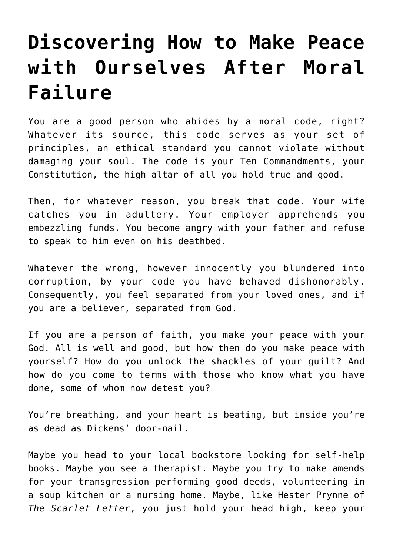## **[Discovering How to Make Peace](https://intellectualtakeout.org/2019/01/discovering-how-to-make-peace-with-ourselves-after-moral-failure/) [with Ourselves After Moral](https://intellectualtakeout.org/2019/01/discovering-how-to-make-peace-with-ourselves-after-moral-failure/) [Failure](https://intellectualtakeout.org/2019/01/discovering-how-to-make-peace-with-ourselves-after-moral-failure/)**

You are a good person who abides by a moral code, right? Whatever its source, this code serves as your set of principles, an ethical standard you cannot violate without damaging your soul. The code is your Ten Commandments, your Constitution, the high altar of all you hold true and good.

Then, for whatever reason, you break that code. Your wife catches you in adultery. Your employer apprehends you embezzling funds. You become angry with your father and refuse to speak to him even on his deathbed.

Whatever the wrong, however innocently you blundered into corruption, by your code you have behaved dishonorably. Consequently, you feel separated from your loved ones, and if you are a believer, separated from God.

If you are a person of faith, you make your peace with your God. All is well and good, but how then do you make peace with yourself? How do you unlock the shackles of your guilt? And how do you come to terms with those who know what you have done, some of whom now detest you?

You're breathing, and your heart is beating, but inside you're as dead as Dickens' door-nail.

Maybe you head to your local bookstore looking for self-help books. Maybe you see a therapist. Maybe you try to make amends for your transgression performing good deeds, volunteering in a soup kitchen or a nursing home. Maybe, like Hester Prynne of *The Scarlet Letter*, you just hold your head high, keep your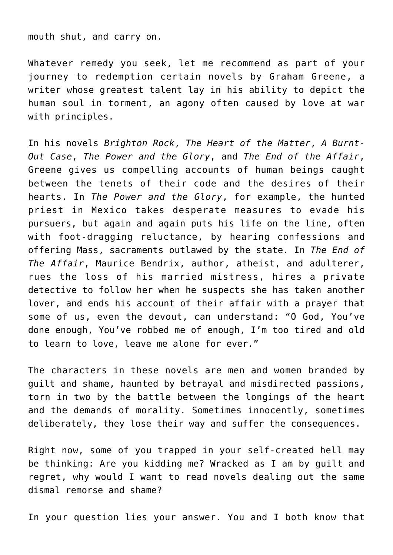mouth shut, and carry on.

Whatever remedy you seek, let me recommend as part of your journey to redemption certain novels by Graham Greene, a writer whose greatest talent lay in his ability to depict the human soul in torment, an agony often caused by love at war with principles.

In his novels *Brighton Rock*, *The Heart of the Matter*, *A Burnt-Out Case*, *The Power and the Glory*, and *The End of the Affair*, Greene gives us compelling accounts of human beings caught between the tenets of their code and the desires of their hearts. In *The Power and the Glory*, for example, the hunted priest in Mexico takes desperate measures to evade his pursuers, but again and again puts his life on the line, often with foot-dragging reluctance, by hearing confessions and offering Mass, sacraments outlawed by the state. In *The End of The Affair*, Maurice Bendrix, author, atheist, and adulterer, rues the loss of his married mistress, hires a private detective to follow her when he suspects she has taken another lover, and ends his account of their affair with a prayer that some of us, even the devout, can understand: "O God, You've done enough, You've robbed me of enough, I'm too tired and old to learn to love, leave me alone for ever."

The characters in these novels are men and women branded by guilt and shame, haunted by betrayal and misdirected passions, torn in two by the battle between the longings of the heart and the demands of morality. Sometimes innocently, sometimes deliberately, they lose their way and suffer the consequences.

Right now, some of you trapped in your self-created hell may be thinking: Are you kidding me? Wracked as I am by guilt and regret, why would I want to read novels dealing out the same dismal remorse and shame?

In your question lies your answer. You and I both know that